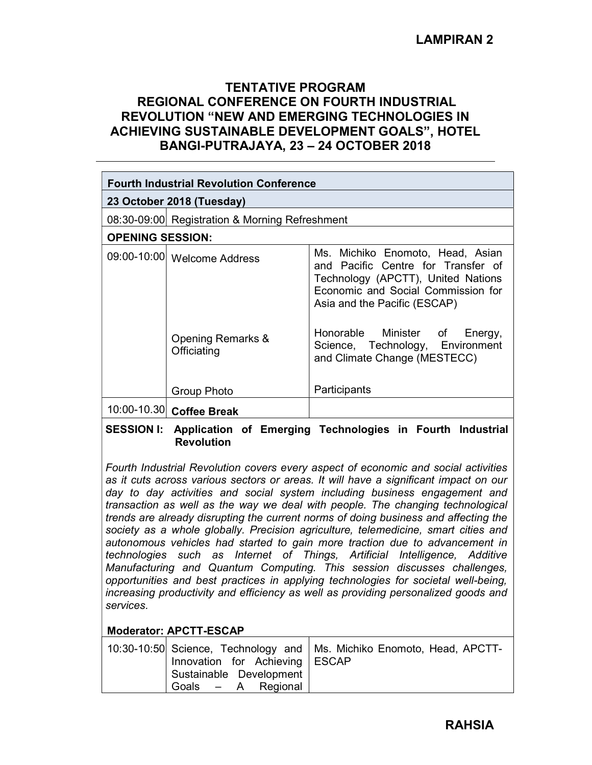## TENTATIVE PROGRAM REGIONAL CONFERENCE ON FOURTH INDUSTRIAL REVOLUTION "NEW AND EMERGING TECHNOLOGIES IN ACHIEVING SUSTAINABLE DEVELOPMENT GOALS", HOTEL BANGI-PUTRAJAYA, 23 – 24 OCTOBER 2018

| <b>Fourth Industrial Revolution Conference</b>                    |                                                |                                                                                                                                                                                    |  |  |
|-------------------------------------------------------------------|------------------------------------------------|------------------------------------------------------------------------------------------------------------------------------------------------------------------------------------|--|--|
| 23 October 2018 (Tuesday)                                         |                                                |                                                                                                                                                                                    |  |  |
|                                                                   | 08:30-09:00 Registration & Morning Refreshment |                                                                                                                                                                                    |  |  |
| <b>OPENING SESSION:</b>                                           |                                                |                                                                                                                                                                                    |  |  |
|                                                                   | 09:00-10:00 Welcome Address                    | Ms. Michiko Enomoto, Head, Asian<br>and Pacific Centre for Transfer of<br>Technology (APCTT), United Nations<br>Economic and Social Commission for<br>Asia and the Pacific (ESCAP) |  |  |
|                                                                   | Opening Remarks &<br>Officiating               | Honorable Minister of Energy,<br>Science, Technology, Environment<br>and Climate Change (MESTECC)                                                                                  |  |  |
|                                                                   | Group Photo                                    | Participants                                                                                                                                                                       |  |  |
|                                                                   | 10:00-10.30 Coffee Break                       |                                                                                                                                                                                    |  |  |
| CECCIONII. Annisatian d<br>كمبراموا والجرزوح<br>im a<br>E 100 A 1 |                                                |                                                                                                                                                                                    |  |  |

#### SESSION I: Application of Emerging Technologies in Fourth Industrial **Revolution**

Fourth Industrial Revolution covers every aspect of economic and social activities as it cuts across various sectors or areas. It will have a significant impact on our day to day activities and social system including business engagement and transaction as well as the way we deal with people. The changing technological trends are already disrupting the current norms of doing business and affecting the society as a whole globally. Precision agriculture, telemedicine, smart cities and autonomous vehicles had started to gain more traction due to advancement in technologies such as Internet of Things, Artificial Intelligence, Additive Manufacturing and Quantum Computing. This session discusses challenges, opportunities and best practices in applying technologies for societal well-being, increasing productivity and efficiency as well as providing personalized goods and services.

## Moderator: APCTT-ESCAP

|                                  | 10:30-10:50 Science, Technology and   Ms. Michiko Enomoto, Head, APCTT- |
|----------------------------------|-------------------------------------------------------------------------|
| Innovation for Achieving   ESCAP |                                                                         |
| Sustainable Development          |                                                                         |
| Goals - A Regional               |                                                                         |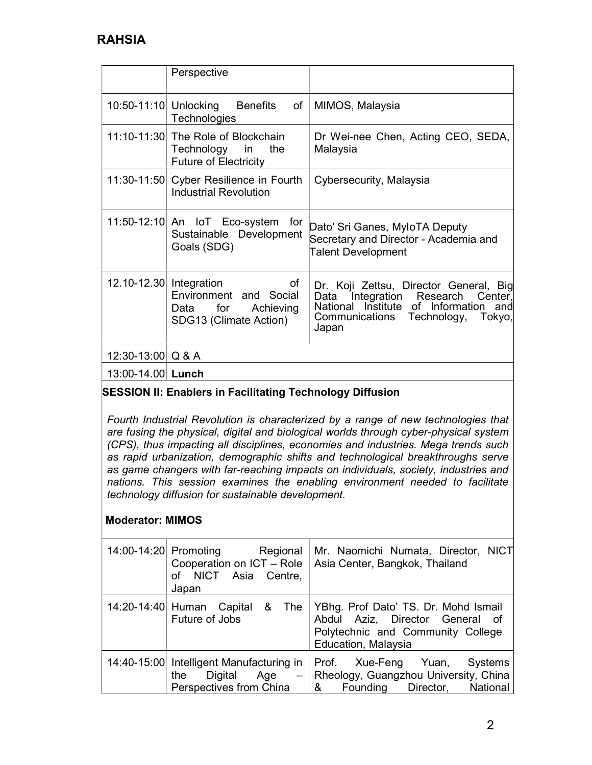# RAHSIA

|                         | Perspective                                                                                |                                                                                                                                                                       |
|-------------------------|--------------------------------------------------------------------------------------------|-----------------------------------------------------------------------------------------------------------------------------------------------------------------------|
| 10:50-11:10 Unlocking   | <b>Benefits</b><br>of<br>Technologies                                                      | MIMOS, Malaysia                                                                                                                                                       |
|                         | 11:10-11:30 The Role of Blockchain<br>Technology in<br>the<br><b>Future of Electricity</b> | Dr Wei-nee Chen, Acting CEO, SEDA,<br>Malaysia                                                                                                                        |
|                         | 11:30-11:50 Cyber Resilience in Fourth<br><b>Industrial Revolution</b>                     | Cybersecurity, Malaysia                                                                                                                                               |
|                         | 11:50-12:10 An IoT Eco-system for<br>Sustainable Development<br>Goals (SDG)                | Dato' Sri Ganes, MyloTA Deputy<br>Secretary and Director - Academia and<br><b>Talent Development</b>                                                                  |
| 12.10-12.30 Integration | οf<br>Environment and Social<br>Data for Achieving<br>SDG13 (Climate Action)               | Dr. Koji Zettsu, Director General, Big<br>Data Integration Research Center,<br>National Institute of Information and<br>Communications Technology,<br>Tokyo,<br>Japan |
| 12:30-13:00 Q & A       |                                                                                            |                                                                                                                                                                       |
| 13:00-14.00 Lunch       |                                                                                            |                                                                                                                                                                       |

## SESSION II: Enablers in Facilitating Technology Diffusion

Fourth Industrial Revolution is characterized by a range of new technologies that are fusing the physical, digital and biological worlds through cyber-physical system (CPS), thus impacting all disciplines, economies and industries. Mega trends such as rapid urbanization, demographic shifts and technological breakthroughs serve as game changers with far-reaching impacts on individuals, society, industries and nations. This session examines the enabling environment needed to facilitate technology diffusion for sustainable development.

## Moderator: MIMOS

| 14:00-14:20 Promoting Regional<br>Cooperation on ICT - Role<br>of NICT Asia Centre,<br>Japan | Mr. Naomichi Numata, Director, NICT<br>Asia Center, Bangkok, Thailand                                                               |
|----------------------------------------------------------------------------------------------|-------------------------------------------------------------------------------------------------------------------------------------|
| 14:20-14:40 Human Capital $\&$ The<br>Future of Jobs                                         | YBhg. Prof Dato' TS. Dr. Mohd Ismail<br>Abdul Aziz, Director General of<br>Polytechnic and Community College<br>Education, Malaysia |
| 14:40-15:00 Intelligent Manufacturing in<br>Digital Age<br>the<br>Perspectives from China    | Prof. Xue-Feng Yuan, Systems<br>- Rheology, Guangzhou University, China<br>8. Founding Director,<br>National                        |